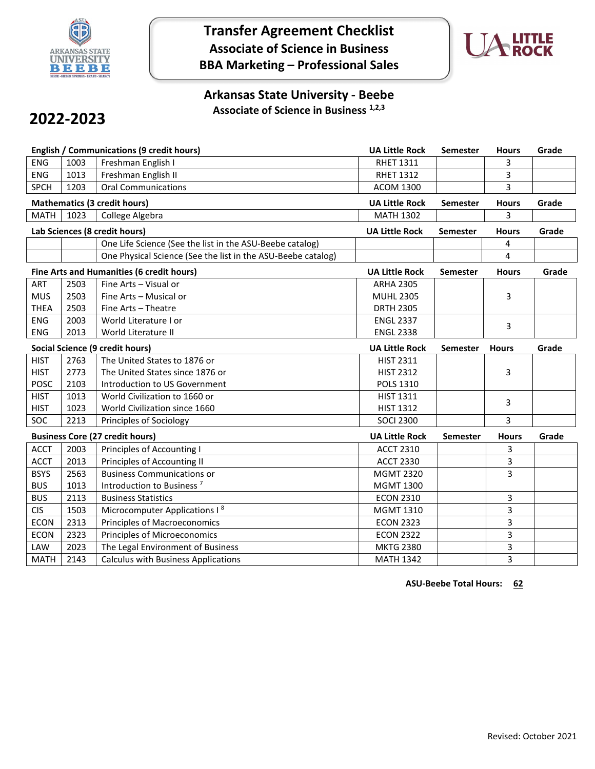

## **Transfer Agreement Checklist Associate of Science in Business BBA Marketing – Professional Sales**



### **Arkansas State University - Beebe Associate of Science in Business 1,2,3**

# **2022-2023**

|             |      | <b>English / Communications (9 credit hours)</b>             | <b>UA Little Rock</b> | Semester        | <b>Hours</b> | Grade |
|-------------|------|--------------------------------------------------------------|-----------------------|-----------------|--------------|-------|
| <b>ENG</b>  | 1003 | Freshman English I                                           | <b>RHET 1311</b>      |                 | 3            |       |
| <b>ENG</b>  | 1013 | Freshman English II                                          | <b>RHET 1312</b>      |                 | 3            |       |
| <b>SPCH</b> | 1203 | <b>Oral Communications</b>                                   | <b>ACOM 1300</b>      |                 | 3            |       |
|             |      | <b>Mathematics (3 credit hours)</b>                          | <b>UA Little Rock</b> | <b>Semester</b> | <b>Hours</b> | Grade |
| <b>MATH</b> | 1023 | College Algebra                                              | <b>MATH 1302</b>      |                 | 3            |       |
|             |      | Lab Sciences (8 credit hours)                                | <b>UA Little Rock</b> | <b>Semester</b> | <b>Hours</b> | Grade |
|             |      | One Life Science (See the list in the ASU-Beebe catalog)     |                       |                 | 4            |       |
|             |      | One Physical Science (See the list in the ASU-Beebe catalog) |                       |                 | 4            |       |
|             |      | Fine Arts and Humanities (6 credit hours)                    | <b>UA Little Rock</b> | Semester        | <b>Hours</b> | Grade |
| ART         | 2503 | Fine Arts - Visual or                                        | <b>ARHA 2305</b>      |                 |              |       |
| <b>MUS</b>  | 2503 | Fine Arts - Musical or                                       | <b>MUHL 2305</b>      |                 | 3            |       |
| <b>THEA</b> | 2503 | Fine Arts - Theatre                                          | <b>DRTH 2305</b>      |                 |              |       |
| <b>ENG</b>  | 2003 | World Literature I or                                        | <b>ENGL 2337</b>      |                 | 3            |       |
| ENG         | 2013 | World Literature II                                          | <b>ENGL 2338</b>      |                 |              |       |
|             |      | Social Science (9 credit hours)                              | <b>UA Little Rock</b> | <b>Semester</b> | <b>Hours</b> | Grade |
| <b>HIST</b> | 2763 | The United States to 1876 or                                 | <b>HIST 2311</b>      |                 |              |       |
| <b>HIST</b> | 2773 | The United States since 1876 or                              | <b>HIST 2312</b>      |                 | 3            |       |
| <b>POSC</b> | 2103 | Introduction to US Government                                | <b>POLS 1310</b>      |                 |              |       |
| <b>HIST</b> | 1013 | World Civilization to 1660 or                                | <b>HIST 1311</b>      |                 | 3            |       |
| <b>HIST</b> | 1023 | World Civilization since 1660                                | <b>HIST 1312</b>      |                 |              |       |
| SOC         | 2213 | Principles of Sociology                                      | <b>SOCI 2300</b>      |                 | 3            |       |
|             |      | <b>Business Core (27 credit hours)</b>                       | <b>UA Little Rock</b> | <b>Semester</b> | <b>Hours</b> | Grade |
| <b>ACCT</b> | 2003 | Principles of Accounting I                                   | <b>ACCT 2310</b>      |                 | 3            |       |
| <b>ACCT</b> | 2013 | Principles of Accounting II                                  | <b>ACCT 2330</b>      |                 | 3            |       |
| <b>BSYS</b> | 2563 | <b>Business Communications or</b>                            | <b>MGMT 2320</b>      |                 | 3            |       |
| <b>BUS</b>  | 1013 | Introduction to Business <sup>7</sup>                        | <b>MGMT 1300</b>      |                 |              |       |
| <b>BUS</b>  | 2113 | <b>Business Statistics</b>                                   | <b>ECON 2310</b>      |                 | 3            |       |
| <b>CIS</b>  | 1503 | Microcomputer Applications I <sup>8</sup>                    | MGMT 1310             |                 | 3            |       |
| <b>ECON</b> | 2313 | <b>Principles of Macroeconomics</b>                          | <b>ECON 2323</b>      |                 | 3            |       |
| <b>ECON</b> | 2323 | Principles of Microeconomics                                 | <b>ECON 2322</b>      |                 | 3            |       |
| LAW         | 2023 | The Legal Environment of Business                            | <b>MKTG 2380</b>      |                 | 3            |       |
| <b>MATH</b> | 2143 | <b>Calculus with Business Applications</b>                   | <b>MATH 1342</b>      |                 | 3            |       |

**ASU-Beebe Total Hours: 62**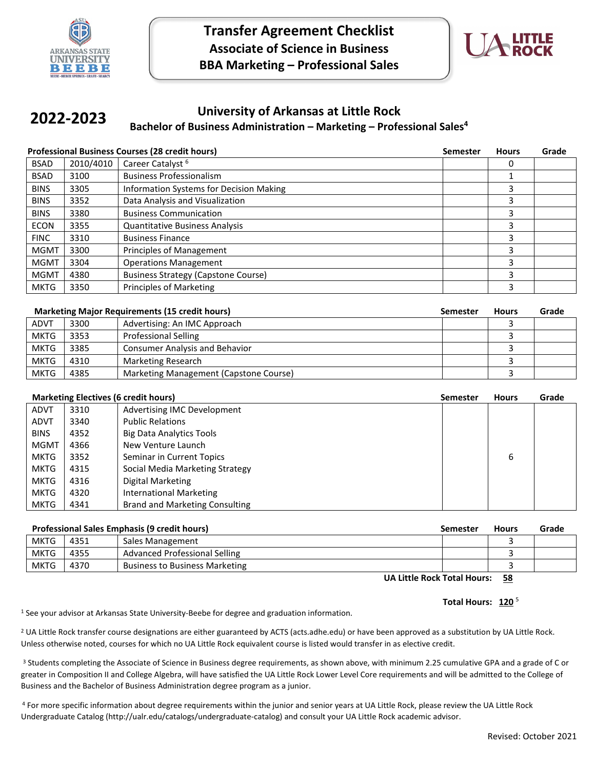



#### **University of Arkansas at Little Rock Bachelor of Business Administration – Marketing – Professional Sales4 2022-2023**

|             | <b>Professional Business Courses (28 credit hours)</b> | <b>Semester</b>                                | <b>Hours</b> | Grade |  |
|-------------|--------------------------------------------------------|------------------------------------------------|--------------|-------|--|
| <b>BSAD</b> | 2010/4010                                              | Career Catalyst <sup>6</sup>                   |              | 0     |  |
| <b>BSAD</b> | 3100                                                   | <b>Business Professionalism</b>                |              |       |  |
| <b>BINS</b> | 3305                                                   | <b>Information Systems for Decision Making</b> |              | 3     |  |
| <b>BINS</b> | 3352                                                   | Data Analysis and Visualization                |              | 3     |  |
| <b>BINS</b> | 3380                                                   | <b>Business Communication</b>                  |              | 3     |  |
| <b>ECON</b> | 3355                                                   | <b>Quantitative Business Analysis</b>          |              | 3     |  |
| <b>FINC</b> | 3310                                                   | <b>Business Finance</b>                        |              | 3     |  |
| <b>MGMT</b> | 3300                                                   | Principles of Management                       |              | 3     |  |
| <b>MGMT</b> | 3304                                                   | <b>Operations Management</b>                   |              | 3     |  |
| <b>MGMT</b> | 4380                                                   | <b>Business Strategy (Capstone Course)</b>     |              | 3     |  |
| <b>MKTG</b> | 3350                                                   | <b>Principles of Marketing</b>                 |              | 3     |  |

|             | <b>Marketing Major Requirements (15 credit hours)</b><br><b>Semester</b> |                                        |  | <b>Hours</b> | Grade |
|-------------|--------------------------------------------------------------------------|----------------------------------------|--|--------------|-------|
| <b>ADVT</b> | 3300                                                                     | Advertising: An IMC Approach           |  |              |       |
| <b>MKTG</b> | 3353                                                                     | <b>Professional Selling</b>            |  |              |       |
| <b>MKTG</b> | 3385                                                                     | <b>Consumer Analysis and Behavior</b>  |  |              |       |
| <b>MKTG</b> | 4310                                                                     | Marketing Research                     |  |              |       |
| <b>MKTG</b> | 4385                                                                     | Marketing Management (Capstone Course) |  |              |       |

| <b>Marketing Electives (6 credit hours)</b> |      |                                       | <b>Semester</b> | <b>Hours</b> | Grade |
|---------------------------------------------|------|---------------------------------------|-----------------|--------------|-------|
| <b>ADVT</b>                                 | 3310 | Advertising IMC Development           |                 |              |       |
| <b>ADVT</b>                                 | 3340 | <b>Public Relations</b>               |                 |              |       |
| <b>BINS</b>                                 | 4352 | <b>Big Data Analytics Tools</b>       |                 |              |       |
| <b>MGMT</b>                                 | 4366 | New Venture Launch                    |                 |              |       |
| <b>MKTG</b>                                 | 3352 | Seminar in Current Topics             |                 | 6            |       |
| <b>MKTG</b>                                 | 4315 | Social Media Marketing Strategy       |                 |              |       |
| <b>MKTG</b>                                 | 4316 | Digital Marketing                     |                 |              |       |
| <b>MKTG</b>                                 | 4320 | International Marketing               |                 |              |       |
| <b>MKTG</b>                                 | 4341 | <b>Brand and Marketing Consulting</b> |                 |              |       |

| <b>Professional Sales Emphasis (9 credit hours)</b> |      | Semester                              | <b>Hours</b> | Grade |  |
|-----------------------------------------------------|------|---------------------------------------|--------------|-------|--|
| <b>MKTG</b>                                         | 4351 | Sales Management                      |              |       |  |
| <b>MKTG</b>                                         | 4355 | Advanced Professional Selling         |              |       |  |
| <b>MKTG</b>                                         | 4370 | <b>Business to Business Marketing</b> |              |       |  |

**UA Little Rock Total Hours: 58**

#### **Total Hours: 120** <sup>5</sup>

<sup>1</sup> See your advisor at Arkansas State University-Beebe for degree and graduation information.

<sup>2</sup> UA Little Rock transfer course designations are either guaranteed by ACTS (acts.adhe.edu) or have been approved as a substitution by UA Little Rock. Unless otherwise noted, courses for which no UA Little Rock equivalent course is listed would transfer in as elective credit.

<sup>3</sup> Students completing the Associate of Science in Business degree requirements, as shown above, with minimum 2.25 cumulative GPA and a grade of C or greater in Composition II and College Algebra, will have satisfied the UA Little Rock Lower Level Core requirements and will be admitted to the College of Business and the Bachelor of Business Administration degree program as a junior.

4 For more specific information about degree requirements within the junior and senior years at UA Little Rock, please review the UA Little Rock Undergraduate Catalog (http://ualr.edu/catalogs/undergraduate-catalog) and consult your UA Little Rock academic advisor.